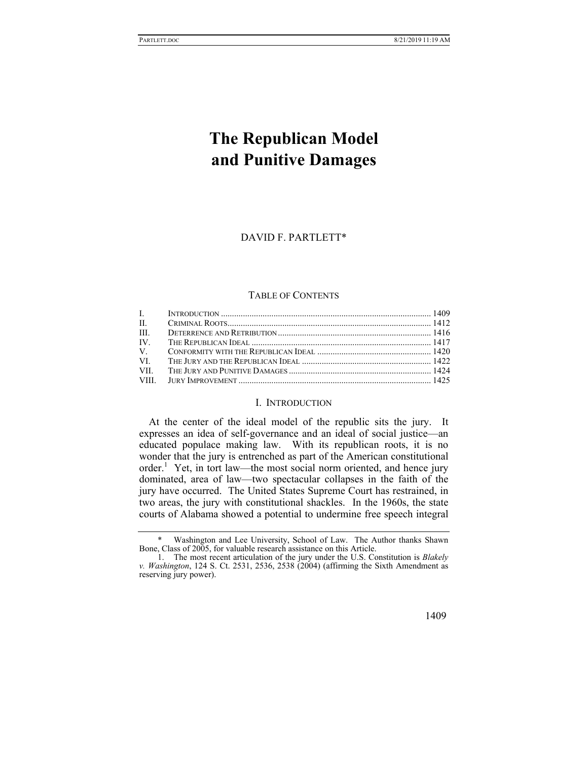# **The Republican Model and Punitive Damages**

## DAVID F. PARTLETT\*

## TABLE OF CONTENTS

| VII. |  |
|------|--|
|      |  |
|      |  |

# I. INTRODUCTION

At the center of the ideal model of the republic sits the jury. It expresses an idea of self-governance and an ideal of social justice—an educated populace making law. With its republican roots, it is no wonder that the jury is entrenched as part of the American constitutional order.<sup>1</sup> Yet, in tort law—the most social norm oriented, and hence jury dominated, area of law—two spectacular collapses in the faith of the jury have occurred. The United States Supreme Court has restrained, in two areas, the jury with constitutional shackles. In the 1960s, the state courts of Alabama showed a potential to undermine free speech integral

 <sup>1.</sup> The most recent articulation of the jury under the U.S. Constitution is *Blakely v. Washington*, 124 S. Ct. 2531, 2536, 2538 (2004) (affirming the Sixth Amendment as reserving jury power).



 <sup>\*</sup> Washington and Lee University, School of Law. The Author thanks Shawn Bone, Class of 2005, for valuable research assistance on this Article.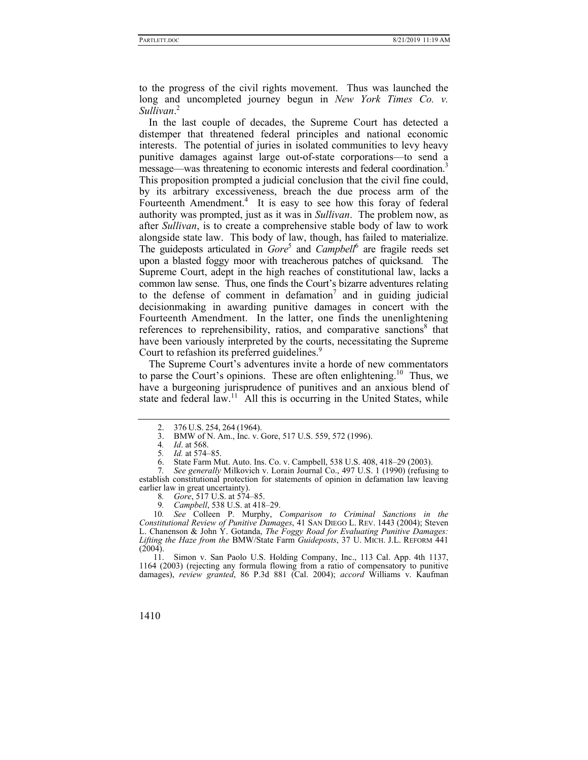to the progress of the civil rights movement. Thus was launched the long and uncompleted journey begun in *New York Times Co. v. Sullivan*. 2

In the last couple of decades, the Supreme Court has detected a distemper that threatened federal principles and national economic interests. The potential of juries in isolated communities to levy heavy punitive damages against large out-of-state corporations—to send a message—was threatening to economic interests and federal coordination.<sup>3</sup> This proposition prompted a judicial conclusion that the civil fine could, by its arbitrary excessiveness, breach the due process arm of the Fourteenth Amendment.<sup>4</sup> It is easy to see how this foray of federal authority was prompted, just as it was in *Sullivan*. The problem now, as after *Sullivan*, is to create a comprehensive stable body of law to work alongside state law. This body of law, though, has failed to materialize. The guideposts articulated in *Gore*<sup>5</sup> and *Campbell*<sup>6</sup> are fragile reeds set upon a blasted foggy moor with treacherous patches of quicksand. The Supreme Court, adept in the high reaches of constitutional law, lacks a common law sense. Thus, one finds the Court's bizarre adventures relating to the defense of comment in defamation<sup>7</sup> and in guiding judicial decisionmaking in awarding punitive damages in concert with the Fourteenth Amendment. In the latter, one finds the unenlightening references to reprehensibility, ratios, and comparative sanctions<sup>8</sup> that have been variously interpreted by the courts, necessitating the Supreme Court to refashion its preferred guidelines.<sup>9</sup>

The Supreme Court's adventures invite a horde of new commentators to parse the Court's opinions. These are often enlightening.<sup>10</sup> Thus, we have a burgeoning jurisprudence of punitives and an anxious blend of state and federal  $\lim_{n \to \infty}$ <sup>11</sup> All this is occurring in the United States, while

Simon v. San Paolo U.S. Holding Company, Inc., 113 Cal. App. 4th 1137, 1164 (2003) (rejecting any formula flowing from a ratio of compensatory to punitive damages), *review granted*, 86 P.3d 881 (Cal. 2004); *accord* Williams v. Kaufman

 <sup>2. 376</sup> U.S. 254, 264 (1964).

 <sup>3.</sup> BMW of N. Am., Inc. v. Gore, 517 U.S. 559, 572 (1996).

<sup>4</sup>*. Id*. at 568.

<sup>5</sup>*. Id.* at 574–85.

 <sup>6.</sup> State Farm Mut. Auto. Ins. Co. v. Campbell, 538 U.S. 408, 418–29 (2003).

*See generally Milkovich v. Lorain Journal Co., 497 U.S. 1 (1990) (refusing to* establish constitutional protection for statements of opinion in defamation law leaving earlier law in great uncertainty).

<sup>8</sup>*. Gore*, 517 U.S. at 574–85.

<sup>9</sup>*. Campbell*, 538 U.S. at 418–29.

<sup>10</sup>*. See* Colleen P. Murphy, *Comparison to Criminal Sanctions in the Constitutional Review of Punitive Damages*, 41 SAN DIEGO L. REV. 1443 (2004); Steven L. Chanenson & John Y. Gotanda, *The Foggy Road for Evaluating Punitive Damages: Lifting the Haze from the* BMW/State Farm *Guideposts*, 37 U. MICH. J.L. REFORM 441  $(2004)$ .<br>11.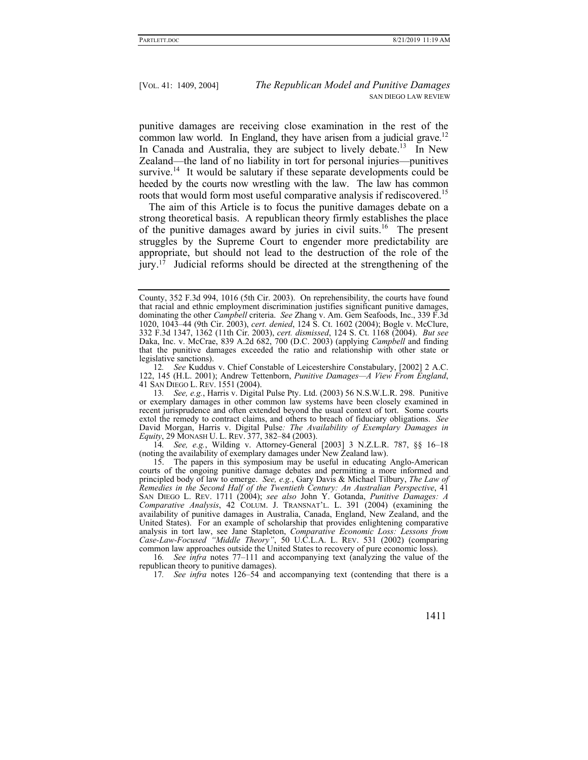punitive damages are receiving close examination in the rest of the common law world. In England, they have arisen from a judicial grave.<sup>12</sup> In Canada and Australia, they are subject to lively debate.<sup>13</sup> In New Zealand—the land of no liability in tort for personal injuries—punitives survive.<sup>14</sup> It would be salutary if these separate developments could be heeded by the courts now wrestling with the law. The law has common roots that would form most useful comparative analysis if rediscovered.<sup>15</sup>

The aim of this Article is to focus the punitive damages debate on a strong theoretical basis. A republican theory firmly establishes the place of the punitive damages award by juries in civil suits.16 The present struggles by the Supreme Court to engender more predictability are appropriate, but should not lead to the destruction of the role of the jury.17 Judicial reforms should be directed at the strengthening of the

14*. See, e.g.*, Wilding v. Attorney-General [2003] 3 N.Z.L.R. 787, §§ 16–18 (noting the availability of exemplary damages under New Zealand law).

 15. The papers in this symposium may be useful in educating Anglo-American courts of the ongoing punitive damage debates and permitting a more informed and principled body of law to emerge. *See, e.g.*, Gary Davis & Michael Tilbury, *The Law of Remedies in the Second Half of the Twentieth Century: An Australian Perspective*, 41 SAN DIEGO L. REV. 1711 (2004); *see also* John Y. Gotanda, *Punitive Damages: A Comparative Analysis*, 42 COLUM. J. TRANSNAT'L. L. 391 (2004) (examining the availability of punitive damages in Australia, Canada, England, New Zealand, and the United States). For an example of scholarship that provides enlightening comparative analysis in tort law, see Jane Stapleton, *Comparative Economic Loss: Lessons from Case-Law-Focused "Middle Theory"*, 50 U.C.L.A. L. REV. 531 (2002) (comparing common law approaches outside the United States to recovery of pure economic loss).

County, 352 F.3d 994, 1016 (5th Cir. 2003). On reprehensibility, the courts have found that racial and ethnic employment discrimination justifies significant punitive damages, dominating the other *Campbell* criteria. *See* Zhang v. Am. Gem Seafoods, Inc., 339 F.3d 1020, 1043–44 (9th Cir. 2003), *cert. denied*, 124 S. Ct. 1602 (2004); Bogle v. McClure, 332 F.3d 1347, 1362 (11th Cir. 2003), *cert. dismissed*, 124 S. Ct. 1168 (2004). *But see* Daka, Inc. v. McCrae, 839 A.2d 682, 700 (D.C. 2003) (applying *Campbell* and finding that the punitive damages exceeded the ratio and relationship with other state or legislative sanctions).

<sup>12</sup>*. See* Kuddus v. Chief Constable of Leicestershire Constabulary, [2002] 2 A.C. 122, 145 (H.L. 2001); Andrew Tettenborn, *Punitive Damages—A View From England*, 41 SAN DIEGO L. REV. 1551 (2004).

<sup>13</sup>*. See, e.g.*, Harris v. Digital Pulse Pty. Ltd. (2003) 56 N.S.W.L.R. 298. Punitive or exemplary damages in other common law systems have been closely examined in recent jurisprudence and often extended beyond the usual context of tort. Some courts extol the remedy to contract claims, and others to breach of fiduciary obligations. *See* David Morgan, Harris v. Digital Pulse*: The Availability of Exemplary Damages in Equity*, 29 MONASH U. L. REV. 377, 382–84 (2003).

<sup>16</sup>*. See infra* notes 77–111 and accompanying text (analyzing the value of the republican theory to punitive damages).

<sup>17</sup>*. See infra* notes 126–54 and accompanying text (contending that there is a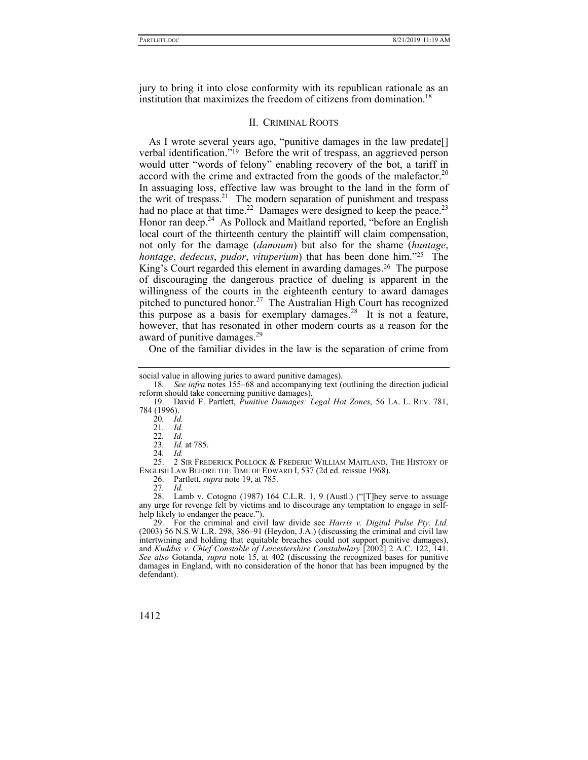jury to bring it into close conformity with its republican rationale as an institution that maximizes the freedom of citizens from domination.<sup>18</sup>

## II. CRIMINAL ROOTS

As I wrote several years ago, "punitive damages in the law predate<sup>[]</sup> verbal identification."19 Before the writ of trespass, an aggrieved person would utter "words of felony" enabling recovery of the bot, a tariff in accord with the crime and extracted from the goods of the malefactor.<sup>20</sup> In assuaging loss, effective law was brought to the land in the form of the writ of trespass.<sup>21</sup> The modern separation of punishment and trespass had no place at that time.<sup>22</sup> Damages were designed to keep the peace.<sup>23</sup> Honor ran deep.<sup>24</sup> As Pollock and Maitland reported, "before an English" local court of the thirteenth century the plaintiff will claim compensation, not only for the damage (*damnum*) but also for the shame (*huntage*, *hontage*, *dedecus*, *pudor*, *vituperium*) that has been done him."25 The King's Court regarded this element in awarding damages.26 The purpose of discouraging the dangerous practice of dueling is apparent in the willingness of the courts in the eighteenth century to award damages pitched to punctured honor.<sup>27</sup> The Australian High Court has recognized this purpose as a basis for exemplary damages.<sup>28</sup> It is not a feature, however, that has resonated in other modern courts as a reason for the award of punitive damages.<sup>29</sup>

One of the familiar divides in the law is the separation of crime from

20*. Id.*

22*. Id.*

24*. Id.*

 25. 2 SIR FREDERICK POLLOCK & FREDERIC WILLIAM MAITLAND, THE HISTORY OF ENGLISH LAW BEFORE THE TIME OF EDWARD I, 537 (2d ed. reissue 1968).

26. Partlett, *supra* note 19, at 785.

27*. Id.*

 28. Lamb v. Cotogno (1987) 164 C.L.R. 1, 9 (Austl.) ("[T]hey serve to assuage any urge for revenge felt by victims and to discourage any temptation to engage in selfhelp likely to endanger the peace.").

 29. For the criminal and civil law divide see *Harris v. Digital Pulse Pty. Ltd.* (2003) 56 N.S.W.L.R. 298, 386–91 (Heydon, J.A.) (discussing the criminal and civil law intertwining and holding that equitable breaches could not support punitive damages), and *Kuddus v. Chief Constable of Leicestershire Constabulary* [2002] 2 A.C. 122, 141. *See also* Gotanda, *supra* note 15, at 402 (discussing the recognized bases for punitive damages in England, with no consideration of the honor that has been impugned by the defendant).

social value in allowing juries to award punitive damages).

<sup>18</sup>*. See infra* notes 155–68 and accompanying text (outlining the direction judicial reform should take concerning punitive damages).

 <sup>19.</sup> David F. Partlett, *Punitive Damages: Legal Hot Zones*, 56 LA. L. REV. 781, 784 (1996).

<sup>21</sup>*. Id.*

<sup>23</sup>*. Id.* at 785.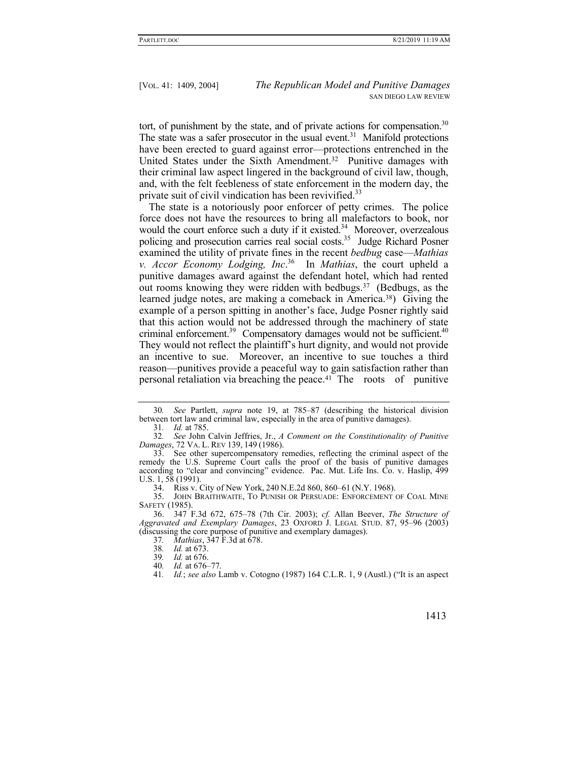tort, of punishment by the state, and of private actions for compensation.<sup>30</sup> The state was a safer prosecutor in the usual event.<sup>31</sup> Manifold protections have been erected to guard against error—protections entrenched in the United States under the Sixth Amendment.32 Punitive damages with their criminal law aspect lingered in the background of civil law, though, and, with the felt feebleness of state enforcement in the modern day, the private suit of civil vindication has been revivified.<sup>33</sup>

The state is a notoriously poor enforcer of petty crimes. The police force does not have the resources to bring all malefactors to book, nor would the court enforce such a duty if it existed.<sup>34</sup> Moreover, overzealous policing and prosecution carries real social costs.<sup>35</sup> Judge Richard Posner examined the utility of private fines in the recent *bedbug* case—*Mathias v. Accor Economy Lodging, Inc*. 36 In *Mathias*, the court upheld a punitive damages award against the defendant hotel, which had rented out rooms knowing they were ridden with bedbugs.37 (Bedbugs, as the learned judge notes, are making a comeback in America.38) Giving the example of a person spitting in another's face, Judge Posner rightly said that this action would not be addressed through the machinery of state criminal enforcement.<sup>39</sup> Compensatory damages would not be sufficient.<sup>40</sup> They would not reflect the plaintiff's hurt dignity, and would not provide an incentive to sue. Moreover, an incentive to sue touches a third reason—punitives provide a peaceful way to gain satisfaction rather than personal retaliation via breaching the peace.41 The roots of punitive

31*. Id.* at 785.

34. Riss v. City of New York, 240 N.E.2d 860, 860–61 (N.Y. 1968).

 35. JOHN BRAITHWAITE, TO PUNISH OR PERSUADE: ENFORCEMENT OF COAL MINE SAFETY (1985).

 36. 347 F.3d 672, 675–78 (7th Cir. 2003); *cf.* Allan Beever, *The Structure of Aggravated and Exemplary Damages*, 23 OXFORD J. LEGAL STUD. 87, 95–96 (2003) (discussing the core purpose of punitive and exemplary damages).

37*. Mathias*, 347 F.3d at 678.

38*. Id.* at 673.

39*. Id.* at 676.

40*. Id.* at 676–77.

41*. Id.*; *see also* Lamb v. Cotogno (1987) 164 C.L.R. 1, 9 (Austl.) ("It is an aspect

<sup>30</sup>*. See* Partlett, *supra* note 19, at 785–87 (describing the historical division between tort law and criminal law, especially in the area of punitive damages).

<sup>32</sup>*. See* John Calvin Jeffries, Jr., *A Comment on the Constitutionality of Punitive Damages*, 72 VA. L. REV 139, 149 (1986).

 <sup>33.</sup> See other supercompensatory remedies, reflecting the criminal aspect of the remedy the U.S. Supreme Court calls the proof of the basis of punitive damages according to "clear and convincing" evidence. Pac. Mut. Life Ins. Co. v. Haslip, 499 U.S. 1, 58 (1991).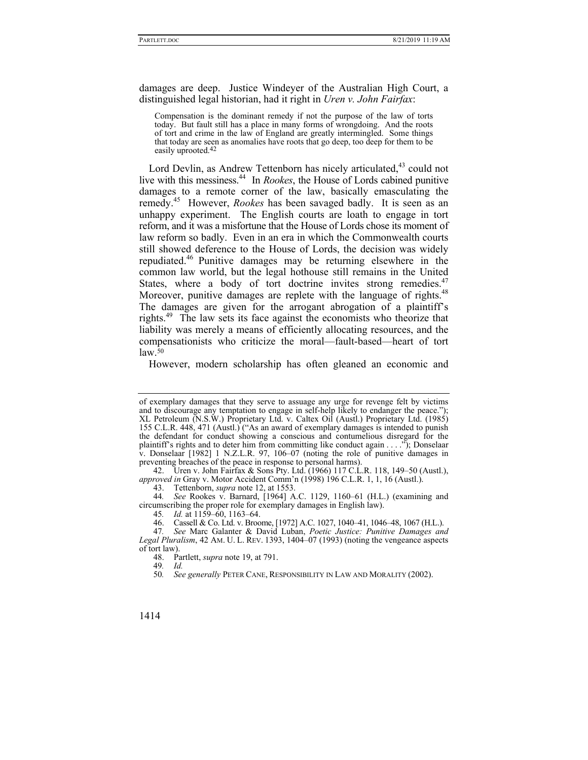damages are deep. Justice Windeyer of the Australian High Court, a distinguished legal historian, had it right in *Uren v. John Fairfax*:

Compensation is the dominant remedy if not the purpose of the law of torts today. But fault still has a place in many forms of wrongdoing. And the roots of tort and crime in the law of England are greatly intermingled. Some things that today are seen as anomalies have roots that go deep, too deep for them to be easily uprooted.42

Lord Devlin, as Andrew Tettenborn has nicely articulated,<sup>43</sup> could not live with this messiness.44 In *Rookes*, the House of Lords cabined punitive damages to a remote corner of the law, basically emasculating the remedy.45 However, *Rookes* has been savaged badly. It is seen as an unhappy experiment. The English courts are loath to engage in tort reform, and it was a misfortune that the House of Lords chose its moment of law reform so badly. Even in an era in which the Commonwealth courts still showed deference to the House of Lords, the decision was widely repudiated.46 Punitive damages may be returning elsewhere in the common law world, but the legal hothouse still remains in the United States, where a body of tort doctrine invites strong remedies.<sup>47</sup> Moreover, punitive damages are replete with the language of rights.<sup>48</sup> The damages are given for the arrogant abrogation of a plaintiff's rights.49 The law sets its face against the economists who theorize that liability was merely a means of efficiently allocating resources, and the compensationists who criticize the moral—fault-based—heart of tort  $law<sub>50</sub>$ 

However, modern scholarship has often gleaned an economic and

 42. Uren v. John Fairfax & Sons Pty. Ltd. (1966) 117 C.L.R. 118, 149–50 (Austl.), *approved in* Gray v. Motor Accident Comm'n (1998) 196 C.L.R. 1, 1, 16 (Austl.).

43. Tettenborn, *supra* note 12, at 1553.

44*. See* Rookes v. Barnard, [1964] A.C. 1129, 1160–61 (H.L.) (examining and circumscribing the proper role for exemplary damages in English law).

45*. Id.* at 1159–60, 1163–64.

46. Cassell & Co. Ltd. v. Broome, [1972] A.C. 1027, 1040–41, 1046–48, 1067 (H.L.).

49*. Id.*

50*. See generally* PETER CANE, RESPONSIBILITY IN LAW AND MORALITY (2002).

of exemplary damages that they serve to assuage any urge for revenge felt by victims and to discourage any temptation to engage in self-help likely to endanger the peace."); XL Petroleum (N.S.W.) Proprietary Ltd. v. Caltex Oil (Austl.) Proprietary Ltd. (1985) 155 C.L.R. 448, 471 (Austl.) ("As an award of exemplary damages is intended to punish the defendant for conduct showing a conscious and contumelious disregard for the plaintiff's rights and to deter him from committing like conduct again . . . ."); Donselaar v. Donselaar [1982] 1 N.Z.L.R. 97, 106–07 (noting the role of punitive damages in preventing breaches of the peace in response to personal harms).

<sup>47</sup>*. See* Marc Galanter & David Luban, *Poetic Justice: Punitive Damages and Legal Pluralism*, 42 AM. U. L. REV. 1393, 1404–07 (1993) (noting the vengeance aspects of tort law).

 <sup>48.</sup> Partlett, *supra* note 19, at 791.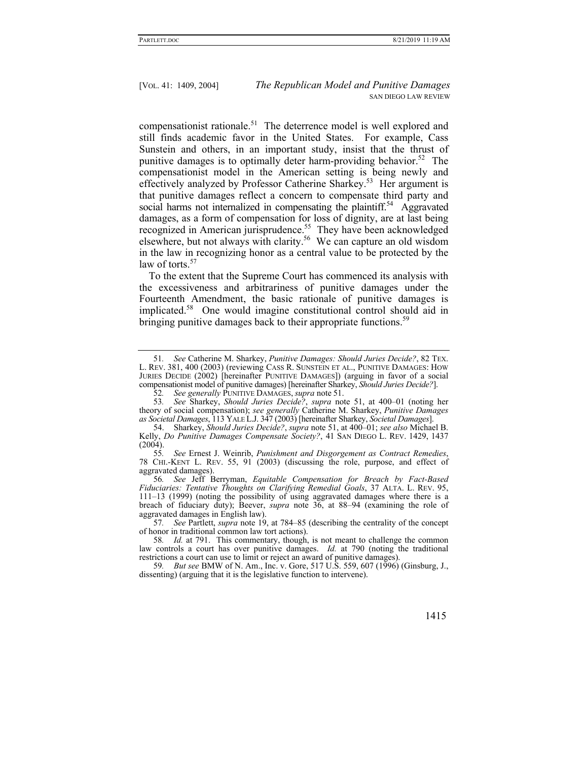compensationist rationale.51 The deterrence model is well explored and still finds academic favor in the United States. For example, Cass Sunstein and others, in an important study, insist that the thrust of punitive damages is to optimally deter harm-providing behavior.<sup>52</sup> The compensationist model in the American setting is being newly and effectively analyzed by Professor Catherine Sharkey.<sup>53</sup> Her argument is that punitive damages reflect a concern to compensate third party and social harms not internalized in compensating the plaintiff.<sup>54</sup> Aggravated damages, as a form of compensation for loss of dignity, are at last being recognized in American jurisprudence.<sup>55</sup> They have been acknowledged elsewhere, but not always with clarity.<sup>56</sup> We can capture an old wisdom in the law in recognizing honor as a central value to be protected by the law of torts.<sup>57</sup>

To the extent that the Supreme Court has commenced its analysis with the excessiveness and arbitrariness of punitive damages under the Fourteenth Amendment, the basic rationale of punitive damages is implicated.58 One would imagine constitutional control should aid in bringing punitive damages back to their appropriate functions.<sup>59</sup>

55*. See* Ernest J. Weinrib, *Punishment and Disgorgement as Contract Remedies*, 78 CHI.-KENT L. REV. 55, 91 (2003) (discussing the role, purpose, and effect of aggravated damages).

56*. See* Jeff Berryman, *Equitable Compensation for Breach by Fact-Based Fiduciaries: Tentative Thoughts on Clarifying Remedial Goals*, 37 ALTA. L. REV. 95, 111–13 (1999) (noting the possibility of using aggravated damages where there is a breach of fiduciary duty); Beever, *supra* note 36, at 88–94 (examining the role of aggravated damages in English law).

57*. See* Partlett, *supra* note 19, at 784–85 (describing the centrality of the concept of honor in traditional common law tort actions).

58*. Id.* at 791. This commentary, though, is not meant to challenge the common law controls a court has over punitive damages. *Id.* at 790 (noting the traditional restrictions a court can use to limit or reject an award of punitive damages).

<sup>51</sup>*. See* Catherine M. Sharkey, *Punitive Damages: Should Juries Decide?*, 82 TEX. L. REV. 381, 400 (2003) (reviewing CASS R. SUNSTEIN ET AL., PUNITIVE DAMAGES: HOW JURIES DECIDE (2002) [hereinafter PUNITIVE DAMAGES]) (arguing in favor of a social compensationist model of punitive damages) [hereinafter Sharkey, *Should Juries Decide?*].

<sup>52</sup>*. See generally* PUNITIVE DAMAGES, *supra* note 51.

<sup>53</sup>*. See* Sharkey, *Should Juries Decide?*, *supra* note 51, at 400–01 (noting her theory of social compensation); *see generally* Catherine M. Sharkey, *Punitive Damages as Societal Damages*, 113 YALE L.J. 347 (2003) [hereinafter Sharkey, *Societal Damages*].

 <sup>54.</sup> Sharkey, *Should Juries Decide?*, *supra* note 51, at 400–01; *see also* Michael B. Kelly, *Do Punitive Damages Compensate Society?*, 41 SAN DIEGO L. REV. 1429, 1437  $(2004)$ .<br>55.

<sup>59</sup>*. But see* BMW of N. Am., Inc. v. Gore, 517 U.S. 559, 607 (1996) (Ginsburg, J., dissenting) (arguing that it is the legislative function to intervene).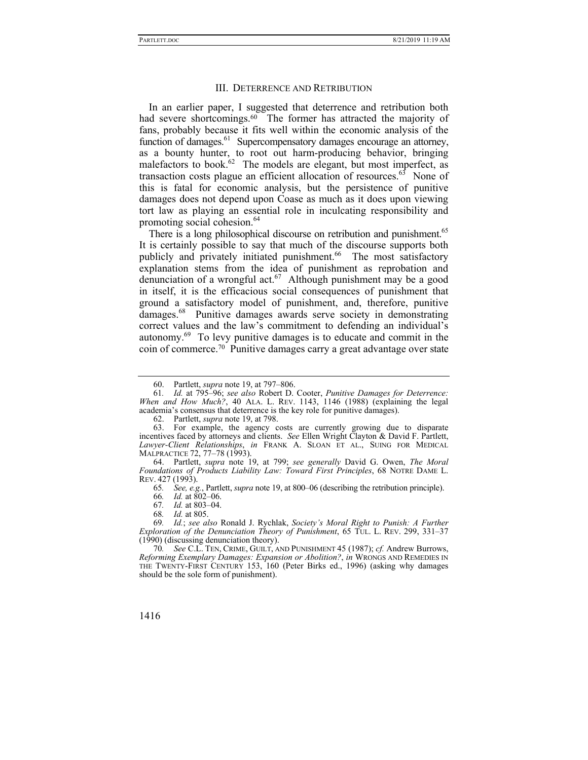## III. DETERRENCE AND RETRIBUTION

In an earlier paper, I suggested that deterrence and retribution both had severe shortcomings.<sup>60</sup> The former has attracted the majority of fans, probably because it fits well within the economic analysis of the function of damages.<sup>61</sup> Supercompensatory damages encourage an attorney, as a bounty hunter, to root out harm-producing behavior, bringing malefactors to book.<sup>62</sup> The models are elegant, but most imperfect, as transaction costs plague an efficient allocation of resources. $63$  None of this is fatal for economic analysis, but the persistence of punitive damages does not depend upon Coase as much as it does upon viewing tort law as playing an essential role in inculcating responsibility and promoting social cohesion.<sup>64</sup>

There is a long philosophical discourse on retribution and punishment.<sup>65</sup> It is certainly possible to say that much of the discourse supports both publicly and privately initiated punishment.<sup>66</sup> The most satisfactory explanation stems from the idea of punishment as reprobation and denunciation of a wrongful act.<sup>67</sup> Although punishment may be a good in itself, it is the efficacious social consequences of punishment that ground a satisfactory model of punishment, and, therefore, punitive damages.68 Punitive damages awards serve society in demonstrating correct values and the law's commitment to defending an individual's autonomy.69 To levy punitive damages is to educate and commit in the coin of commerce.70 Punitive damages carry a great advantage over state

 <sup>60.</sup> Partlett, *supra* note 19, at 797–806.

<sup>61</sup>*. Id.* at 795–96; *see also* Robert D. Cooter, *Punitive Damages for Deterrence: When and How Much?*, 40 ALA. L. REV. 1143, 1146 (1988) (explaining the legal academia's consensus that deterrence is the key role for punitive damages).

 <sup>62.</sup> Partlett, *supra* note 19, at 798.

 <sup>63.</sup> For example, the agency costs are currently growing due to disparate incentives faced by attorneys and clients. *See* Ellen Wright Clayton & David F. Partlett, *Lawyer-Client Relationships*, *in* FRANK A. SLOAN ET AL., SUING FOR MEDICAL MALPRACTICE 72, 77–78 (1993).

 <sup>64.</sup> Partlett, *supra* note 19, at 799; *see generally* David G. Owen, *The Moral Foundations of Products Liability Law: Toward First Principles*, 68 NOTRE DAME L. REV. 427 (1993).

<sup>65</sup>*. See, e.g.*, Partlett, *supra* note 19, at 800–06 (describing the retribution principle).

<sup>66</sup>*. Id.* at 802–06.

<sup>67</sup>*. Id.* at 803–04.

<sup>68</sup>*. Id.* at 805.

<sup>69</sup>*. Id.*; *see also* Ronald J. Rychlak, *Society's Moral Right to Punish: A Further Exploration of the Denunciation Theory of Punishment*, 65 TUL. L. REV. 299, 331–37 (1990) (discussing denunciation theory).

<sup>70</sup>*. See* C.L. TEN, CRIME, GUILT, AND PUNISHMENT 45 (1987); *cf.* Andrew Burrows, *Reforming Exemplary Damages: Expansion or Abolition?*, *in* WRONGS AND REMEDIES IN THE TWENTY-FIRST CENTURY 153, 160 (Peter Birks ed., 1996) (asking why damages should be the sole form of punishment).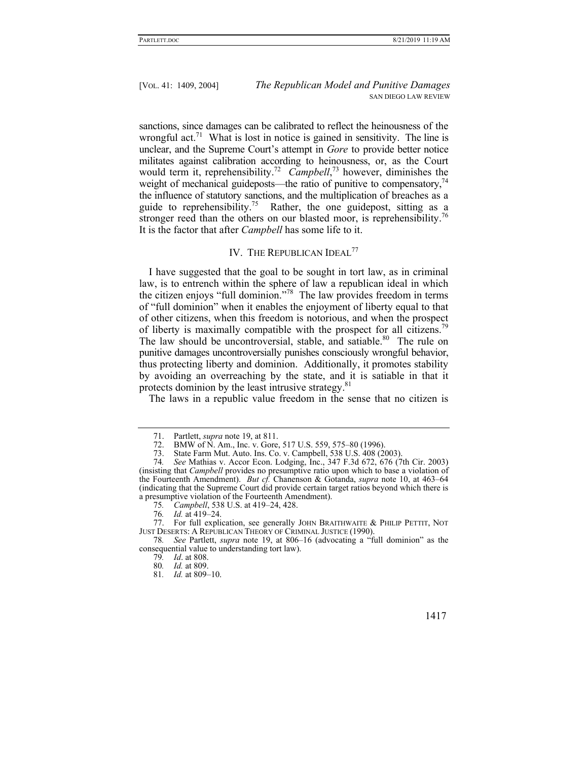sanctions, since damages can be calibrated to reflect the heinousness of the wrongful act.<sup>71</sup> What is lost in notice is gained in sensitivity. The line is unclear, and the Supreme Court's attempt in *Gore* to provide better notice militates against calibration according to heinousness, or, as the Court would term it, reprehensibility.<sup>72</sup> *Campbell*,<sup>73</sup> however, diminishes the weight of mechanical guideposts—the ratio of punitive to compensatory, $^{74}$ the influence of statutory sanctions, and the multiplication of breaches as a guide to reprehensibility.<sup>75</sup> Rather, the one guidepost, sitting as a stronger reed than the others on our blasted moor, is reprehensibility.<sup>76</sup> It is the factor that after *Campbell* has some life to it.

# IV. THE REPUBLICAN IDEAL<sup>77</sup>

I have suggested that the goal to be sought in tort law, as in criminal law, is to entrench within the sphere of law a republican ideal in which the citizen enjoys "full dominion."78 The law provides freedom in terms of "full dominion" when it enables the enjoyment of liberty equal to that of other citizens, when this freedom is notorious, and when the prospect of liberty is maximally compatible with the prospect for all citizens.<sup>79</sup> The law should be uncontroversial, stable, and satiable.<sup>80</sup> The rule on punitive damages uncontroversially punishes consciously wrongful behavior, thus protecting liberty and dominion. Additionally, it promotes stability by avoiding an overreaching by the state, and it is satiable in that it protects dominion by the least intrusive strategy.<sup>81</sup>

The laws in a republic value freedom in the sense that no citizen is

78*. See* Partlett, *supra* note 19, at 806–16 (advocating a "full dominion" as the consequential value to understanding tort law).

 <sup>71.</sup> Partlett, *supra* note 19, at 811.

<sup>72.</sup> BMW of N. Am., Inc. v. Gore, 517 U.S. 559, 575–80 (1996).<br>73. State Farm Mut. Auto. Ins. Co. v. Campbell, 538 U.S. 408 (2)

State Farm Mut. Auto. Ins. Co. v. Campbell, 538 U.S. 408 (2003).

<sup>74</sup>*. See* Mathias v. Accor Econ. Lodging, Inc., 347 F.3d 672, 676 (7th Cir. 2003) (insisting that *Campbell* provides no presumptive ratio upon which to base a violation of the Fourteenth Amendment). *But cf.* Chanenson & Gotanda, *supra* note 10, at 463–64 (indicating that the Supreme Court did provide certain target ratios beyond which there is a presumptive violation of the Fourteenth Amendment).

<sup>75</sup>*. Campbell*, 538 U.S. at 419–24, 428.

<sup>76</sup>*. Id.* at 419–24.

 <sup>77.</sup> For full explication, see generally JOHN BRAITHWAITE & PHILIP PETTIT, NOT JUST DESERTS: A REPUBLICAN THEORY OF CRIMINAL JUSTICE (1990).

<sup>79</sup>*. Id*. at 808.

<sup>80</sup>*. Id.* at 809.

<sup>81</sup>*. Id.* at 809–10.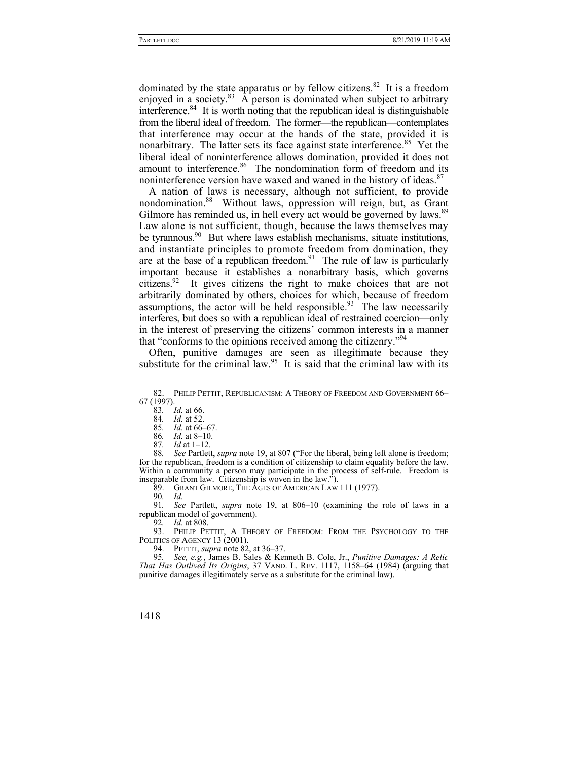dominated by the state apparatus or by fellow citizens.<sup>82</sup> It is a freedom enjoyed in a society. $83$  A person is dominated when subject to arbitrary interference.<sup>84</sup> It is worth noting that the republican ideal is distinguishable from the liberal ideal of freedom. The former—the republican—contemplates that interference may occur at the hands of the state, provided it is nonarbitrary. The latter sets its face against state interference.<sup>85</sup> Yet the liberal ideal of noninterference allows domination, provided it does not amount to interference.<sup>86</sup> The nondomination form of freedom and its noninterference version have waxed and waned in the history of ideas.<sup>87</sup>

A nation of laws is necessary, although not sufficient, to provide nondomination.88 Without laws, oppression will reign, but, as Grant Gilmore has reminded us, in hell every act would be governed by laws.<sup>89</sup> Law alone is not sufficient, though, because the laws themselves may be tyrannous.<sup>90</sup> But where laws establish mechanisms, situate institutions, and instantiate principles to promote freedom from domination, they are at the base of a republican freedom.<sup>91</sup> The rule of law is particularly important because it establishes a nonarbitrary basis, which governs citizens.92 It gives citizens the right to make choices that are not arbitrarily dominated by others, choices for which, because of freedom assumptions, the actor will be held responsible.<sup>93</sup> The law necessarily interferes, but does so with a republican ideal of restrained coercion—only in the interest of preserving the citizens' common interests in a manner that "conforms to the opinions received among the citizenry."94

Often, punitive damages are seen as illegitimate because they substitute for the criminal law.<sup>95</sup> It is said that the criminal law with its

85*. Id.* at 66–67.

- 86*. Id.* at 8–10.
- 87*. Id* at 1–12.

88*. See* Partlett, *supra* note 19, at 807 ("For the liberal, being left alone is freedom; for the republican, freedom is a condition of citizenship to claim equality before the law. Within a community a person may participate in the process of self-rule. Freedom is inseparable from law. Citizenship is woven in the law.").

89. GRANT GILMORE, THE AGES OF AMERICAN LAW 111 (1977).

90*. Id.*

91*. See* Partlett, *supra* note 19, at 806–10 (examining the role of laws in a republican model of government).

92*. Id.* at 808.

 93. PHILIP PETTIT, A THEORY OF FREEDOM: FROM THE PSYCHOLOGY TO THE POLITICS OF AGENCY 13 (2001).

94. PETTIT, *supra* note 82, at 36–37.

95*. See, e.g.*, James B. Sales & Kenneth B. Cole, Jr., *Punitive Damages: A Relic That Has Outlived Its Origins*, 37 VAND. L. REV. 1117, 1158–64 (1984) (arguing that punitive damages illegitimately serve as a substitute for the criminal law).

 <sup>82.</sup> PHILIP PETTIT, REPUBLICANISM: A THEORY OF FREEDOM AND GOVERNMENT 66– 67 (1997).

<sup>83</sup>*. Id.* at 66.

<sup>84</sup>*. Id.* at 52.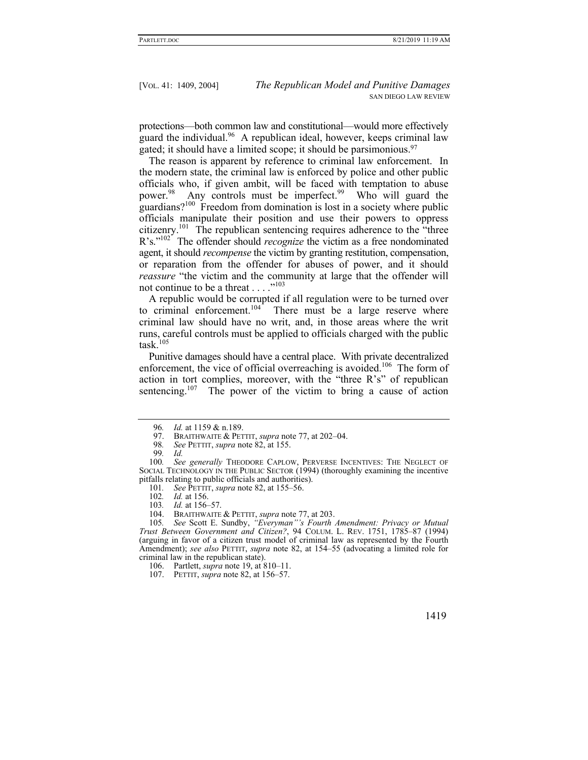protections—both common law and constitutional—would more effectively guard the individual.<sup>96</sup> A republican ideal, however, keeps criminal law gated; it should have a limited scope; it should be parsimonious.97

The reason is apparent by reference to criminal law enforcement. In the modern state, the criminal law is enforced by police and other public officials who, if given ambit, will be faced with temptation to abuse power.<sup>98</sup> Any controls must be imperfect.<sup>99</sup> Who will guard the guardians?100 Freedom from domination is lost in a society where public officials manipulate their position and use their powers to oppress citizenry.101 The republican sentencing requires adherence to the "three R's."<sup>102</sup> The offender should *recognize* the victim as a free nondominated agent, it should *recompense* the victim by granting restitution, compensation, or reparation from the offender for abuses of power, and it should *reassure* "the victim and the community at large that the offender will not continue to be a threat . . . ."<sup>103</sup>

A republic would be corrupted if all regulation were to be turned over to criminal enforcement.<sup>104</sup> There must be a large reserve where criminal law should have no writ, and, in those areas where the writ runs, careful controls must be applied to officials charged with the public task.<sup>105</sup>

Punitive damages should have a central place. With private decentralized enforcement, the vice of official overreaching is avoided.<sup>106</sup> The form of action in tort complies, moreover, with the "three R's" of republican sentencing.<sup>107</sup> The power of the victim to bring a cause of action

105*. See* Scott E. Sundby, *"Everyman"'s Fourth Amendment: Privacy or Mutual Trust Between Government and Citizen?*, 94 COLUM. L. REV. 1751, 1785–87 (1994) (arguing in favor of a citizen trust model of criminal law as represented by the Fourth Amendment); *see also* PETTIT, *supra* note 82, at 154–55 (advocating a limited role for criminal law in the republican state).

<sup>96</sup>*. Id.* at 1159 & n.189.

BRAITHWAITE & PETTIT, *supra* note 77, at 202–04.

<sup>98</sup>*. See* PETTIT, *supra* note 82, at 155.

<sup>99</sup>*. Id.*

<sup>100</sup>*. See generally* THEODORE CAPLOW, PERVERSE INCENTIVES: THE NEGLECT OF SOCIAL TECHNOLOGY IN THE PUBLIC SECTOR (1994) (thoroughly examining the incentive pitfalls relating to public officials and authorities).

<sup>101</sup>*. See* PETTIT, *supra* note 82, at 155–56.

<sup>102</sup>*. Id.* at 156.

<sup>103</sup>*. Id.* at 156–57.

 <sup>104.</sup> BRAITHWAITE & PETTIT, *supra* note 77, at 203.

 <sup>106.</sup> Partlett, *supra* note 19, at 810–11.

 <sup>107.</sup> PETTIT, *supra* note 82, at 156–57.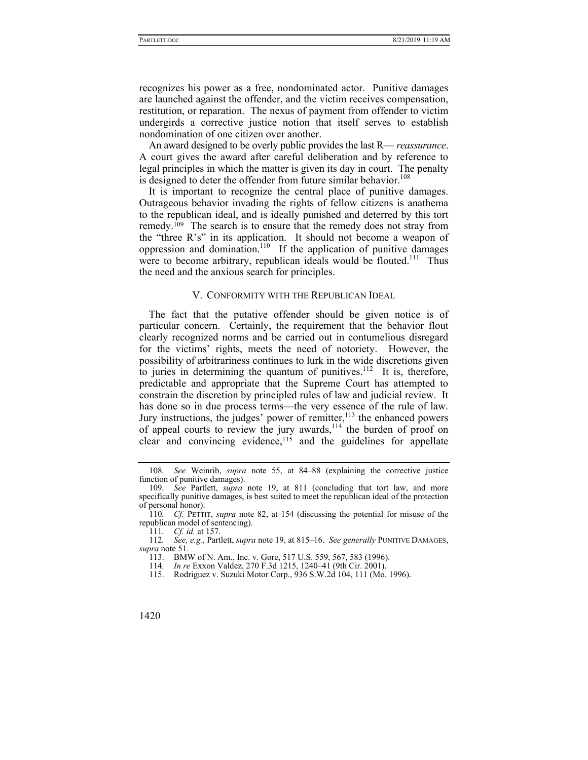recognizes his power as a free, nondominated actor. Punitive damages are launched against the offender, and the victim receives compensation, restitution, or reparation. The nexus of payment from offender to victim undergirds a corrective justice notion that itself serves to establish nondomination of one citizen over another.

An award designed to be overly public provides the last R— *reassurance*. A court gives the award after careful deliberation and by reference to legal principles in which the matter is given its day in court. The penalty is designed to deter the offender from future similar behavior.<sup>108</sup>

It is important to recognize the central place of punitive damages. Outrageous behavior invading the rights of fellow citizens is anathema to the republican ideal, and is ideally punished and deterred by this tort remedy.<sup>109</sup> The search is to ensure that the remedy does not stray from the "three R's" in its application. It should not become a weapon of oppression and domination.<sup>110</sup> If the application of punitive damages were to become arbitrary, republican ideals would be flouted.<sup>111</sup> Thus the need and the anxious search for principles.

## V. CONFORMITY WITH THE REPUBLICAN IDEAL

The fact that the putative offender should be given notice is of particular concern. Certainly, the requirement that the behavior flout clearly recognized norms and be carried out in contumelious disregard for the victims' rights, meets the need of notoriety. However, the possibility of arbitrariness continues to lurk in the wide discretions given to juries in determining the quantum of punitives.<sup>112</sup> It is, therefore, predictable and appropriate that the Supreme Court has attempted to constrain the discretion by principled rules of law and judicial review. It has done so in due process terms—the very essence of the rule of law. Jury instructions, the judges' power of remitter, $113$  the enhanced powers of appeal courts to review the jury awards,<sup>114</sup> the burden of proof on clear and convincing evidence, $115$  and the guidelines for appellate

<sup>108</sup>*. See* Weinrib, *supra* note 55, at 84–88 (explaining the corrective justice function of punitive damages).

<sup>109</sup>*. See* Partlett, *supra* note 19, at 811 (concluding that tort law, and more specifically punitive damages, is best suited to meet the republican ideal of the protection of personal honor).

<sup>110</sup>*. Cf.* PETTIT, *supra* note 82, at 154 (discussing the potential for misuse of the republican model of sentencing).

<sup>111</sup>*. Cf. id.* at 157.

<sup>112</sup>*. See, e.g.*, Partlett, *supra* note 19, at 815–16. *See generally* PUNITIVE DAMAGES, *supra* note 51.

 <sup>113.</sup> BMW of N. Am., Inc. v. Gore, 517 U.S. 559, 567, 583 (1996).

<sup>114</sup>*. In re* Exxon Valdez, 270 F.3d 1215, 1240–41 (9th Cir. 2001).

 <sup>115.</sup> Rodriguez v. Suzuki Motor Corp., 936 S.W.2d 104, 111 (Mo. 1996).

<sup>1420</sup>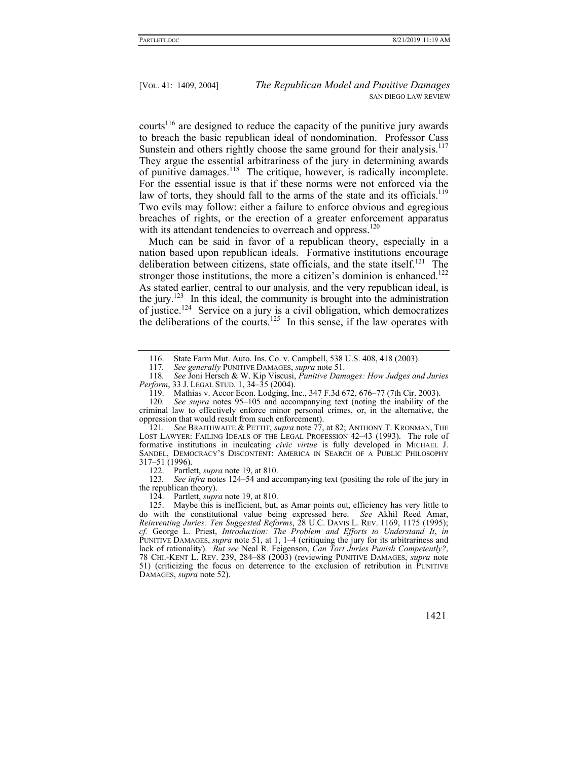courts<sup>116</sup> are designed to reduce the capacity of the punitive jury awards to breach the basic republican ideal of nondomination. Professor Cass Sunstein and others rightly choose the same ground for their analysis.<sup>117</sup> They argue the essential arbitrariness of the jury in determining awards of punitive damages.118 The critique, however, is radically incomplete. For the essential issue is that if these norms were not enforced via the law of torts, they should fall to the arms of the state and its officials.<sup>119</sup> Two evils may follow: either a failure to enforce obvious and egregious breaches of rights, or the erection of a greater enforcement apparatus with its attendant tendencies to overreach and oppress.<sup>120</sup>

Much can be said in favor of a republican theory, especially in a nation based upon republican ideals. Formative institutions encourage deliberation between citizens, state officials, and the state itself.<sup>121</sup> The stronger those institutions, the more a citizen's dominion is enhanced.<sup>122</sup> As stated earlier, central to our analysis, and the very republican ideal, is the jury.<sup>123</sup> In this ideal, the community is brought into the administration of justice.124 Service on a jury is a civil obligation, which democratizes the deliberations of the courts.<sup>125</sup> In this sense, if the law operates with

121*. See* BRAITHWAITE & PETTIT, *supra* note 77, at 82; ANTHONY T. KRONMAN, THE LOST LAWYER: FAILING IDEALS OF THE LEGAL PROFESSION 42–43 (1993). The role of formative institutions in inculcating *civic virtue* is fully developed in MICHAEL J. SANDEL, DEMOCRACY'S DISCONTENT: AMERICA IN SEARCH OF A PUBLIC PHILOSOPHY 317–51 (1996).

122. Partlett, *supra* note 19, at 810.

See infra notes 124–54 and accompanying text (positing the role of the jury in the republican theory).

124. Partlett, *supra* note 19, at 810.

 125. Maybe this is inefficient, but, as Amar points out, efficiency has very little to do with the constitutional value being expressed here. *See* Akhil Reed Amar, *Reinventing Juries: Ten Suggested Reforms*, 28 U.C. DAVIS L. REV. 1169, 1175 (1995); *cf.* George L. Priest, *Introduction: The Problem and Efforts to Understand It*, *in* PUNITIVE DAMAGES, *supra* note 51, at 1, 1–4 (critiquing the jury for its arbitrariness and lack of rationality). *But see* Neal R. Feigenson, *Can Tort Juries Punish Competently?*, 78 CHI.-KENT L. REV. 239, 284–88 (2003) (reviewing PUNITIVE DAMAGES, *supra* note 51) (criticizing the focus on deterrence to the exclusion of retribution in PUNITIVE DAMAGES, *supra* note 52).

 <sup>116.</sup> State Farm Mut. Auto. Ins. Co. v. Campbell, 538 U.S. 408, 418 (2003).

<sup>117</sup>*. See generally* PUNITIVE DAMAGES, *supra* note 51.

<sup>118</sup>*. See* Joni Hersch & W. Kip Viscusi, *Punitive Damages: How Judges and Juries Perform*, 33 J. LEGAL STUD. 1, 34–35 (2004).

 <sup>119.</sup> Mathias v. Accor Econ. Lodging, Inc., 347 F.3d 672, 676–77 (7th Cir. 2003).

<sup>120</sup>*. See supra* notes 95–105 and accompanying text (noting the inability of the criminal law to effectively enforce minor personal crimes, or, in the alternative, the oppression that would result from such enforcement).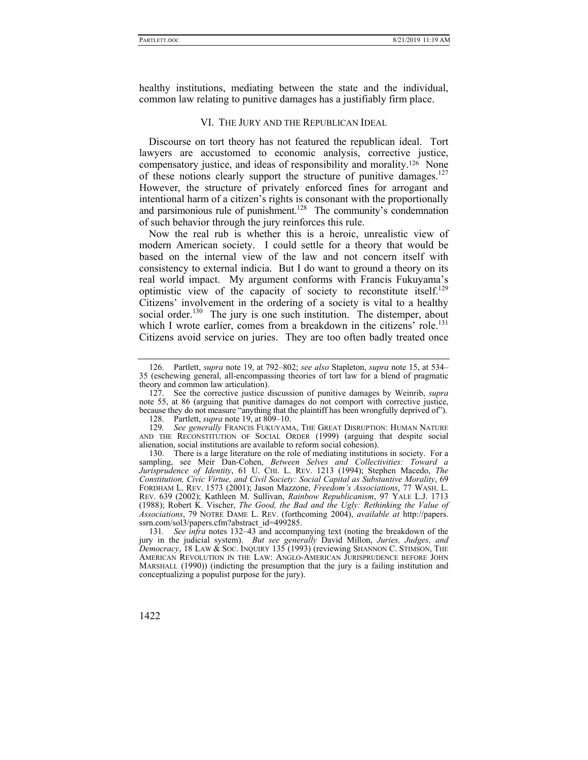healthy institutions, mediating between the state and the individual, common law relating to punitive damages has a justifiably firm place.

## VI. THE JURY AND THE REPUBLICAN IDEAL

Discourse on tort theory has not featured the republican ideal. Tort lawyers are accustomed to economic analysis, corrective justice, compensatory justice, and ideas of responsibility and morality.126 None of these notions clearly support the structure of punitive damages.<sup>127</sup> However, the structure of privately enforced fines for arrogant and intentional harm of a citizen's rights is consonant with the proportionally and parsimonious rule of punishment.<sup>128</sup> The community's condemnation of such behavior through the jury reinforces this rule.

Now the real rub is whether this is a heroic, unrealistic view of modern American society. I could settle for a theory that would be based on the internal view of the law and not concern itself with consistency to external indicia. But I do want to ground a theory on its real world impact. My argument conforms with Francis Fukuyama's optimistic view of the capacity of society to reconstitute itself.<sup>129</sup> Citizens' involvement in the ordering of a society is vital to a healthy social order.<sup>130</sup> The jury is one such institution. The distemper, about which I wrote earlier, comes from a breakdown in the citizens' role.<sup>131</sup> Citizens avoid service on juries. They are too often badly treated once

 <sup>126.</sup> Partlett, *supra* note 19, at 792–802; *see also* Stapleton, *supra* note 15, at 534– 35 (eschewing general, all-encompassing theories of tort law for a blend of pragmatic theory and common law articulation).

 <sup>127.</sup> See the corrective justice discussion of punitive damages by Weinrib, *supra* note 55, at 86 (arguing that punitive damages do not comport with corrective justice, because they do not measure "anything that the plaintiff has been wrongfully deprived of").

 <sup>128.</sup> Partlett, *supra* note 19, at 809–10.

<sup>129</sup>*. See generally* FRANCIS FUKUYAMA, THE GREAT DISRUPTION: HUMAN NATURE AND THE RECONSTITUTION OF SOCIAL ORDER (1999) (arguing that despite social alienation, social institutions are available to reform social cohesion).

 <sup>130.</sup> There is a large literature on the role of mediating institutions in society. For a sampling, see Meir Dan-Cohen, *Between Selves and Collectivities: Toward a Jurisprudence of Identity*, 61 U. CHI. L. REV. 1213 (1994); Stephen Macedo, *The Constitution, Civic Virtue, and Civil Society: Social Capital as Substantive Morality*, 69 FORDHAM L. REV. 1573 (2001); Jason Mazzone, *Freedom's Associations*, 77 WASH. L. REV. 639 (2002); Kathleen M. Sullivan, *Rainbow Republicanism*, 97 YALE L.J. 1713 (1988); Robert K. Vischer, *The Good, the Bad and the Ugly: Rethinking the Value of Associations*, 79 NOTRE DAME L. REV. (forthcoming 2004), *available at* http://papers. ssrn.com/sol3/papers.cfm?abstract\_id=499285.

<sup>131</sup>*. See infra* notes 132–43 and accompanying text (noting the breakdown of the jury in the judicial system). *But see generally* David Millon, *Juries, Judges, and Democracy*, 18 LAW & SOC. INQUIRY 135 (1993) (reviewing SHANNON C. STIMSON, THE AMERICAN REVOLUTION IN THE LAW: ANGLO-AMERICAN JURISPRUDENCE BEFORE JOHN MARSHALL (1990)) (indicting the presumption that the jury is a failing institution and conceptualizing a populist purpose for the jury).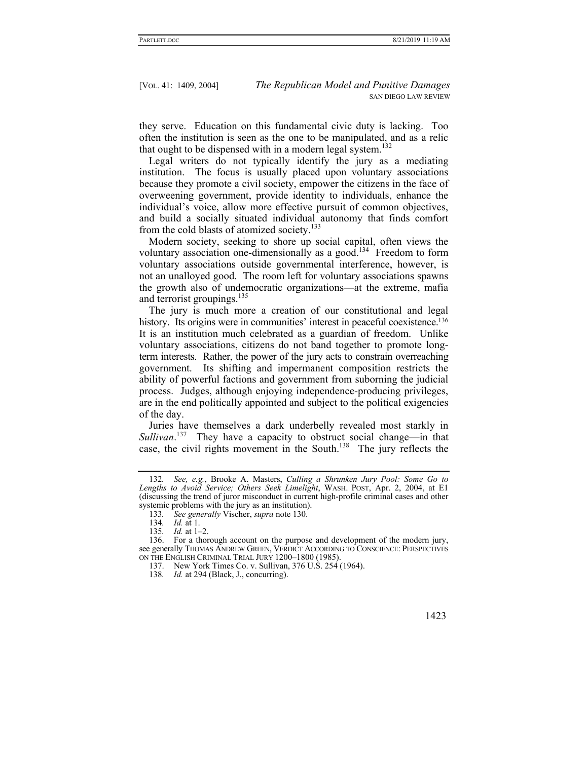they serve. Education on this fundamental civic duty is lacking. Too often the institution is seen as the one to be manipulated, and as a relic that ought to be dispensed with in a modern legal system.<sup>132</sup>

Legal writers do not typically identify the jury as a mediating institution. The focus is usually placed upon voluntary associations because they promote a civil society, empower the citizens in the face of overweening government, provide identity to individuals, enhance the individual's voice, allow more effective pursuit of common objectives, and build a socially situated individual autonomy that finds comfort from the cold blasts of atomized society.<sup>133</sup>

Modern society, seeking to shore up social capital, often views the voluntary association one-dimensionally as a good.<sup>134</sup> Freedom to form voluntary associations outside governmental interference, however, is not an unalloyed good. The room left for voluntary associations spawns the growth also of undemocratic organizations—at the extreme, mafia and terrorist groupings.<sup>135</sup>

The jury is much more a creation of our constitutional and legal history. Its origins were in communities' interest in peaceful coexistence.<sup>136</sup> It is an institution much celebrated as a guardian of freedom. Unlike voluntary associations, citizens do not band together to promote longterm interests. Rather, the power of the jury acts to constrain overreaching government. Its shifting and impermanent composition restricts the ability of powerful factions and government from suborning the judicial process. Judges, although enjoying independence-producing privileges, are in the end politically appointed and subject to the political exigencies of the day.

Juries have themselves a dark underbelly revealed most starkly in *Sullivan*. 137 They have a capacity to obstruct social change—in that case, the civil rights movement in the South.<sup>138</sup> The jury reflects the

<sup>132</sup>*. See, e.g.*, Brooke A. Masters, *Culling a Shrunken Jury Pool: Some Go to Lengths to Avoid Service; Others Seek Limelight*, WASH. POST, Apr. 2, 2004, at E1 (discussing the trend of juror misconduct in current high-profile criminal cases and other systemic problems with the jury as an institution).

<sup>133</sup>*. See generally* Vischer, *supra* note 130.

<sup>134</sup>*. Id.* at 1. *Id.* at 1–2.

 <sup>136.</sup> For a thorough account on the purpose and development of the modern jury, see generally THOMAS ANDREW GREEN, VERDICT ACCORDING TO CONSCIENCE: PERSPECTIVES ON THE ENGLISH CRIMINAL TRIAL JURY 1200–1800 (1985).

 <sup>137.</sup> New York Times Co. v. Sullivan, 376 U.S. 254 (1964).

<sup>138</sup>*. Id.* at 294 (Black, J., concurring).

 <sup>1423</sup>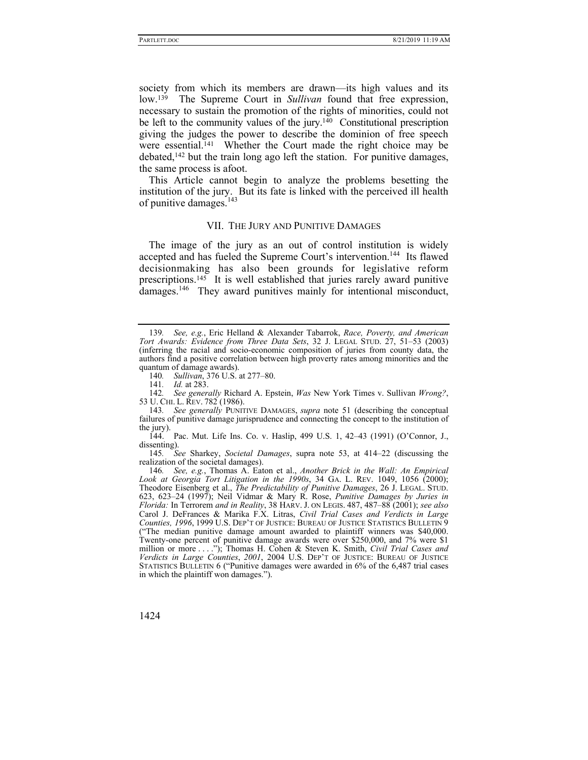society from which its members are drawn—its high values and its low.139 The Supreme Court in *Sullivan* found that free expression, necessary to sustain the promotion of the rights of minorities, could not be left to the community values of the jury.<sup>140</sup> Constitutional prescription giving the judges the power to describe the dominion of free speech were essential.<sup>141</sup> Whether the Court made the right choice may be debated,<sup>142</sup> but the train long ago left the station. For punitive damages, the same process is afoot.

This Article cannot begin to analyze the problems besetting the institution of the jury. But its fate is linked with the perceived ill health of punitive damages.<sup>143</sup>

## VII. THE JURY AND PUNITIVE DAMAGES

The image of the jury as an out of control institution is widely accepted and has fueled the Supreme Court's intervention.<sup>144</sup> Its flawed decisionmaking has also been grounds for legislative reform prescriptions.<sup>145</sup> It is well established that juries rarely award punitive damages.<sup>146</sup> They award punitives mainly for intentional misconduct,

140*. Sullivan*, 376 U.S. at 277–80.

141*. Id.* at 283.

143*. See generally* PUNITIVE DAMAGES, *supra* note 51 (describing the conceptual failures of punitive damage jurisprudence and connecting the concept to the institution of the jury).

 144. Pac. Mut. Life Ins. Co. v. Haslip, 499 U.S. 1, 42–43 (1991) (O'Connor, J., dissenting).

145*. See* Sharkey, *Societal Damages*, supra note 53, at 414–22 (discussing the realization of the societal damages).

<sup>139</sup>*. See, e.g.*, Eric Helland & Alexander Tabarrok, *Race, Poverty, and American Tort Awards: Evidence from Three Data Sets*, 32 J. LEGAL STUD. 27, 51–53 (2003) (inferring the racial and socio-economic composition of juries from county data, the authors find a positive correlation between high proverty rates among minorities and the quantum of damage awards).

<sup>142</sup>*. See generally* Richard A. Epstein, *Was* New York Times v. Sullivan *Wrong?*, 53 U. CHI. L. REV. 782 (1986).

<sup>146</sup>*. See, e.g.*, Thomas A. Eaton et al., *Another Brick in the Wall: An Empirical Look at Georgia Tort Litigation in the 1990s*, 34 GA. L. REV. 1049, 1056 (2000); Theodore Eisenberg et al., *The Predictability of Punitive Damages*, 26 J. LEGAL. STUD. 623, 623–24 (1997); Neil Vidmar & Mary R. Rose, *Punitive Damages by Juries in Florida:* In Terrorem *and in Reality*, 38 HARV. J. ON LEGIS. 487, 487–88 (2001); *see also* Carol J. DeFrances & Marika F.X. Litras, *Civil Trial Cases and Verdicts in Large Counties, 1996*, 1999 U.S. DEP'T OF JUSTICE: BUREAU OF JUSTICE STATISTICS BULLETIN 9 ("The median punitive damage amount awarded to plaintiff winners was \$40,000. Twenty-one percent of punitive damage awards were over \$250,000, and 7% were \$1 million or more . . . ."); Thomas H. Cohen & Steven K. Smith, *Civil Trial Cases and Verdicts in Large Counties*, *2001*, 2004 U.S. DEP'T OF JUSTICE: BUREAU OF JUSTICE STATISTICS BULLETIN 6 ("Punitive damages were awarded in 6% of the 6,487 trial cases in which the plaintiff won damages.").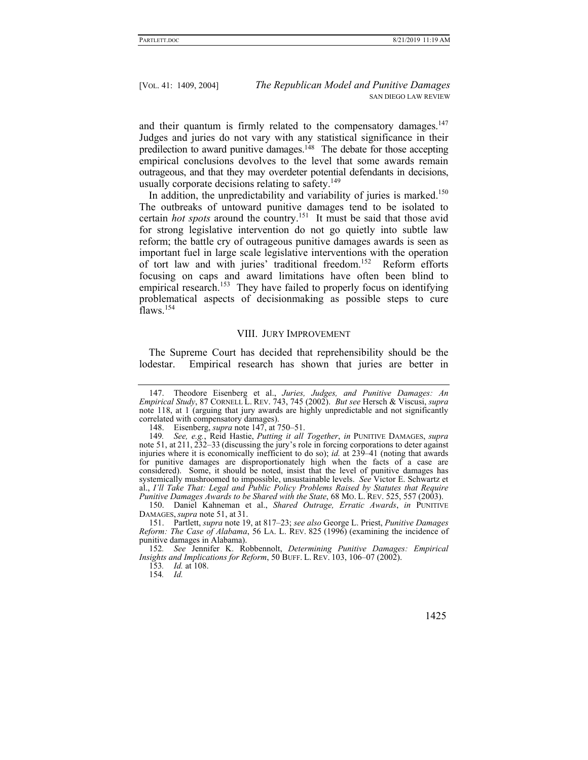and their quantum is firmly related to the compensatory damages.<sup>147</sup> Judges and juries do not vary with any statistical significance in their predilection to award punitive damages.148 The debate for those accepting empirical conclusions devolves to the level that some awards remain outrageous, and that they may overdeter potential defendants in decisions, usually corporate decisions relating to safety.<sup>149</sup>

In addition, the unpredictability and variability of juries is marked.<sup>150</sup> The outbreaks of untoward punitive damages tend to be isolated to certain *hot spots* around the country.151 It must be said that those avid for strong legislative intervention do not go quietly into subtle law reform; the battle cry of outrageous punitive damages awards is seen as important fuel in large scale legislative interventions with the operation of tort law and with juries' traditional freedom.<sup>152</sup> Reform efforts focusing on caps and award limitations have often been blind to empirical research.<sup>153</sup> They have failed to properly focus on identifying problematical aspects of decisionmaking as possible steps to cure flaws.<sup>154</sup>

#### VIII. JURY IMPROVEMENT

The Supreme Court has decided that reprehensibility should be the lodestar. Empirical research has shown that juries are better in

 150. Daniel Kahneman et al., *Shared Outrage, Erratic Awards*, *in* PUNITIVE DAMAGES, *supra* note 51, at 31.

153*. Id.* at 108.

154*. Id.*

 <sup>147.</sup> Theodore Eisenberg et al., *Juries, Judges, and Punitive Damages: An Empirical Study*, 87 CORNELL L. REV. 743, 745 (2002). *But see* Hersch & Viscusi, *supra* note 118, at 1 (arguing that jury awards are highly unpredictable and not significantly correlated with compensatory damages).

 <sup>148.</sup> Eisenberg, *supra* note 147, at 750–51.

<sup>149</sup>*. See, e.g.*, Reid Hastie, *Putting it all Together*, *in* PUNITIVE DAMAGES, *supra*  note 51, at 211, 232–33 (discussing the jury's role in forcing corporations to deter against injuries where it is economically inefficient to do so); *id.* at 239–41 (noting that awards for punitive damages are disproportionately high when the facts of a case are considered). Some, it should be noted, insist that the level of punitive damages has systemically mushroomed to impossible, unsustainable levels. *See* Victor E. Schwartz et al., *I'll Take That: Legal and Public Policy Problems Raised by Statutes that Require Punitive Damages Awards to be Shared with the State*, 68 MO. L. REV. 525, 557 (2003).

 <sup>151.</sup> Partlett, *supra* note 19, at 817–23; *see also* George L. Priest, *Punitive Damages Reform: The Case of Alabama*, 56 LA. L. REV. 825 (1996) (examining the incidence of punitive damages in Alabama).

<sup>152</sup>*. See* Jennifer K. Robbennolt, *Determining Punitive Damages: Empirical Insights and Implications for Reform*, 50 BUFF. L. REV. 103, 106–07 (2002).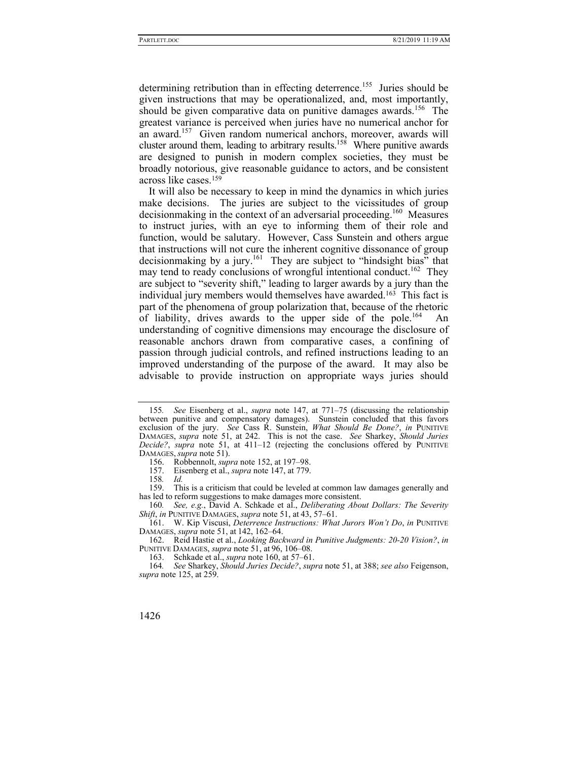determining retribution than in effecting deterrence.<sup>155</sup> Juries should be given instructions that may be operationalized, and, most importantly, should be given comparative data on punitive damages awards.<sup>156</sup> The greatest variance is perceived when juries have no numerical anchor for an award.<sup>157</sup> Given random numerical anchors, moreover, awards will cluster around them, leading to arbitrary results.<sup>158</sup> Where punitive awards are designed to punish in modern complex societies, they must be broadly notorious, give reasonable guidance to actors, and be consistent across like cases.159

It will also be necessary to keep in mind the dynamics in which juries make decisions. The juries are subject to the vicissitudes of group decisionmaking in the context of an adversarial proceeding.<sup>160</sup> Measures to instruct juries, with an eye to informing them of their role and function, would be salutary. However, Cass Sunstein and others argue that instructions will not cure the inherent cognitive dissonance of group decisionmaking by a jury.<sup>161</sup> They are subject to "hindsight bias" that may tend to ready conclusions of wrongful intentional conduct.<sup>162</sup> They are subject to "severity shift," leading to larger awards by a jury than the individual jury members would themselves have awarded.163 This fact is part of the phenomena of group polarization that, because of the rhetoric of liability, drives awards to the upper side of the pole.<sup>164</sup> understanding of cognitive dimensions may encourage the disclosure of reasonable anchors drawn from comparative cases, a confining of passion through judicial controls, and refined instructions leading to an improved understanding of the purpose of the award. It may also be advisable to provide instruction on appropriate ways juries should

160*. See, e.g.*, David A. Schkade et al., *Deliberating About Dollars: The Severity Shift*, *in* PUNITIVE DAMAGES, *supra* note 51, at 43, 57–61.

<sup>155</sup>*. See* Eisenberg et al., *supra* note 147, at 771–75 (discussing the relationship between punitive and compensatory damages). Sunstein concluded that this favors exclusion of the jury. *See* Cass R. Sunstein, *What Should Be Done?*, *in* PUNITIVE DAMAGES, *supra* note 51, at 242. This is not the case. *See* Sharkey, *Should Juries Decide?*, *supra* note 51, at 411–12 (rejecting the conclusions offered by PUNITIVE DAMAGES, *supra* note 51).

 <sup>156.</sup> Robbennolt, *supra* note 152, at 197–98.

 <sup>157.</sup> Eisenberg et al., *supra* note 147, at 779.

<sup>158</sup>*. Id.*

 <sup>159.</sup> This is a criticism that could be leveled at common law damages generally and has led to reform suggestions to make damages more consistent.

 <sup>161.</sup> W. Kip Viscusi, *Deterrence Instructions: What Jurors Won't Do*, *in* PUNITIVE DAMAGES, *supra* note 51, at 142, 162–64.

 <sup>162.</sup> Reid Hastie et al., *Looking Backward in Punitive Judgments: 20-20 Vision?*, *in* PUNITIVE DAMAGES, *supra* note 51, at 96, 106–08.

 <sup>163.</sup> Schkade et al., *supra* note 160, at 57–61.

<sup>164</sup>*. See* Sharkey, *Should Juries Decide?*, *supra* note 51, at 388; *see also* Feigenson, *supra* note 125, at 259.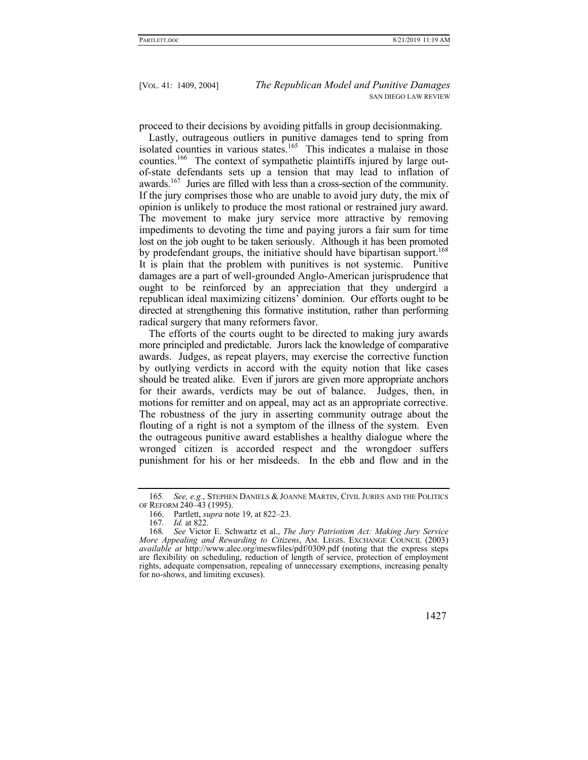proceed to their decisions by avoiding pitfalls in group decisionmaking.

Lastly, outrageous outliers in punitive damages tend to spring from isolated counties in various states.<sup>165</sup> This indicates a malaise in those counties.<sup>166</sup> The context of sympathetic plaintiffs injured by large outof-state defendants sets up a tension that may lead to inflation of awards.167 Juries are filled with less than a cross-section of the community. If the jury comprises those who are unable to avoid jury duty, the mix of opinion is unlikely to produce the most rational or restrained jury award. The movement to make jury service more attractive by removing impediments to devoting the time and paying jurors a fair sum for time lost on the job ought to be taken seriously. Although it has been promoted by prodefendant groups, the initiative should have bipartisan support.<sup>168</sup> It is plain that the problem with punitives is not systemic. Punitive damages are a part of well-grounded Anglo-American jurisprudence that ought to be reinforced by an appreciation that they undergird a republican ideal maximizing citizens' dominion. Our efforts ought to be directed at strengthening this formative institution, rather than performing radical surgery that many reformers favor.

The efforts of the courts ought to be directed to making jury awards more principled and predictable. Jurors lack the knowledge of comparative awards. Judges, as repeat players, may exercise the corrective function by outlying verdicts in accord with the equity notion that like cases should be treated alike. Even if jurors are given more appropriate anchors for their awards, verdicts may be out of balance. Judges, then, in motions for remitter and on appeal, may act as an appropriate corrective. The robustness of the jury in asserting community outrage about the flouting of a right is not a symptom of the illness of the system. Even the outrageous punitive award establishes a healthy dialogue where the wronged citizen is accorded respect and the wrongdoer suffers punishment for his or her misdeeds. In the ebb and flow and in the

<sup>168</sup>*. See* Victor E. Schwartz et al., *The Jury Patriotism Act: Making Jury Service More Appealing and Rewarding to Citizens*, AM. LEGIS. EXCHANGE COUNCIL (2003) *available at* http://www.alec.org/meswfiles/pdf/0309.pdf (noting that the express steps are flexibility on scheduling, reduction of length of service, protection of employment rights, adequate compensation, repealing of unnecessary exemptions, increasing penalty for no-shows, and limiting excuses).



<sup>165</sup>*. See, e.g.*, STEPHEN DANIELS & JOANNE MARTIN, CIVIL JURIES AND THE POLITICS OF REFORM 240–43 (1995).

 <sup>166.</sup> Partlett, *supra* note 19, at 822–23.

<sup>167</sup>*. Id.* at 822.